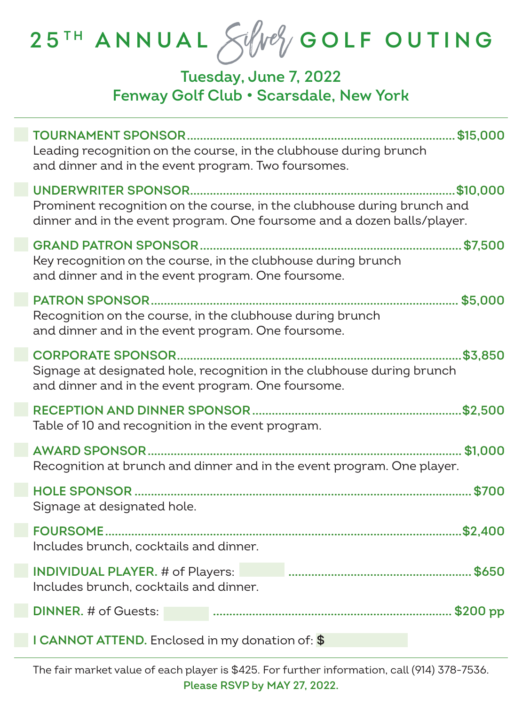# **2 5 T H ANNUAL** Silver **GOLF OUTING**

## **Tuesday, June 7, 2022 Fenway Golf Club • Scarsdale, New York**

| Leading recognition on the course, in the clubhouse during brunch<br>and dinner and in the event program. Two foursomes.                           |         |
|----------------------------------------------------------------------------------------------------------------------------------------------------|---------|
| Prominent recognition on the course, in the clubhouse during brunch and<br>dinner and in the event program. One foursome and a dozen balls/player. |         |
| Key recognition on the course, in the clubhouse during brunch<br>and dinner and in the event program. One foursome.                                |         |
| Recognition on the course, in the clubhouse during brunch<br>and dinner and in the event program. One foursome.                                    |         |
| Signage at designated hole, recognition in the clubhouse during brunch<br>and dinner and in the event program. One foursome.                       | \$3.850 |
| Table of 10 and recognition in the event program.                                                                                                  |         |
| Recognition at brunch and dinner and in the event program. One player.                                                                             |         |
| Signage at designated hole.                                                                                                                        |         |
| Includes brunch, cocktails and dinner.                                                                                                             |         |
| <b>INDIVIDUAL PLAYER.</b> # of Players:<br>Includes brunch, cocktails and dinner.                                                                  |         |
| <b>DINNER.</b> # of Guests:                                                                                                                        |         |
| I CANNOT ATTEND. Enclosed in my donation of: \$                                                                                                    |         |

The fair market value of each player is \$425. For further information, call (914) 378-7536. **Please RSVP by MAY 27, 2022.**